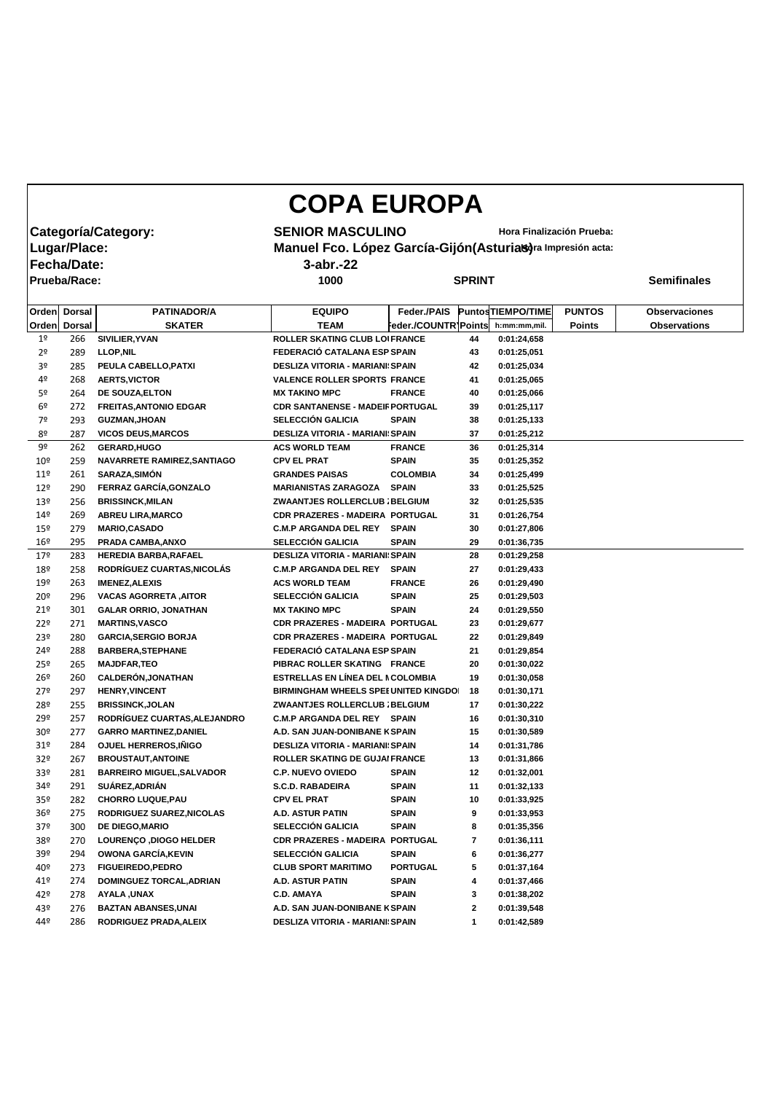## **COPA EUROPA**

**Fecha/Date: 3-abr.-22**

**Prueba/Race: 1000 SPRINT Semifinales**

**Categoría/Category: SENIOR MASCULINO** Hora Finalización Prueba:<br>|Lugar/Place: **Manuel Fco. López García-Gijón(Asturias)**ra Impresión acta: **Manuel Fco. López García-Gijón(Asturias)** ra Impresión acta:

| Orden<br><b>SKATER</b><br><b>TEAM</b><br><b>Dorsal</b><br>Feder./COUNTR]Points<br><b>Orden</b><br>h:mm:mm,mil.<br><b>Points</b><br><b>Observations</b><br>ROLLER SKATING CLUB LOIFRANCE<br>1 <sup>o</sup><br>266<br>SIVILIER, YVAN<br>44<br>0:01:24,658<br>FEDERACIÓ CATALANA ESP SPAIN<br>2 <sup>o</sup><br><b>LLOP, NIL</b><br>43<br>0:01:25,051<br>289<br>3 <sup>o</sup><br>PEULA CABELLO, PATXI<br><b>DESLIZA VITORIA - MARIANI: SPAIN</b><br>42<br>0:01:25,034<br>285<br>4º<br><b>AERTS, VICTOR</b><br><b>VALENCE ROLLER SPORTS FRANCE</b><br>41<br>268<br>0:01:25,065<br>5º<br>DE SOUZA, ELTON<br><b>MX TAKINO MPC</b><br><b>FRANCE</b><br>40<br>0:01:25,066<br>264<br><b>CDR SANTANENSE - MADEIF PORTUGAL</b><br>6 <sup>9</sup><br><b>FREITAS, ANTONIO EDGAR</b><br>39<br>0:01:25,117<br>272<br><b>SELECCIÓN GALICIA</b><br>7º<br><b>SPAIN</b><br><b>GUZMAN, JHOAN</b><br>38<br>293<br>0:01:25,133<br>8º<br><b>VICOS DEUS, MARCOS</b><br><b>DESLIZA VITORIA - MARIANI: SPAIN</b><br>37<br>287<br>0:01:25,212<br>9º<br><b>GERARD, HUGO</b><br><b>ACS WORLD TEAM</b><br><b>FRANCE</b><br>36<br>0:01:25,314<br>262<br>10 <sup>°</sup><br>NAVARRETE RAMIREZ, SANTIAGO<br><b>SPAIN</b><br>259<br><b>CPV EL PRAT</b><br>35<br>0:01:25,352<br><b>SARAZA, SIMÓN</b><br>11 <sup>°</sup><br>261<br><b>GRANDES PAISAS</b><br><b>COLOMBIA</b><br>34<br>0:01:25,499<br>FERRAZ GARCÍA, GONZALO<br>12 <sup>°</sup><br><b>MARIANISTAS ZARAGOZA</b><br><b>SPAIN</b><br>0:01:25,525<br>290<br>33<br>13 <sup>°</sup><br><b>BRISSINCK, MILAN</b><br>256<br>ZWAANTJES ROLLERCLUB ; BELGIUM<br>32<br>0:01:25,535<br>149<br>CDR PRAZERES - MADEIRA PORTUGAL<br>269<br><b>ABREU LIRA, MARCO</b><br>31<br>0:01:26,754<br><b>C.M.P ARGANDA DEL REY</b><br><b>SPAIN</b><br>$15^{\circ}$<br><b>MARIO, CASADO</b><br>30<br>0:01:27,806<br>279<br><b>SELECCIÓN GALICIA</b><br>PRADA CAMBA, ANXO<br>16 <sup>°</sup><br><b>SPAIN</b><br>29<br>295<br>0:01:36,735<br>17 <sup>°</sup><br>HEREDIA BARBA, RAFAEL<br><b>DESLIZA VITORIA - MARIANI: SPAIN</b><br>28<br>0:01:29,258<br>283<br>RODRÍGUEZ CUARTAS, NICOLÁS<br>18 <sup>°</sup><br><b>C.M.P ARGANDA DEL REY SPAIN</b><br>27<br>0:01:29,433<br>258<br>$19^{\circ}$<br><b>ACS WORLD TEAM</b><br>263<br><b>IMENEZ, ALEXIS</b><br><b>FRANCE</b><br>26<br>0:01:29,490<br><b>SELECCIÓN GALICIA</b><br>$20^{\circ}$<br><b>VACAS AGORRETA, AITOR</b><br><b>SPAIN</b><br>25<br>296<br>0:01:29,503 |  |
|----------------------------------------------------------------------------------------------------------------------------------------------------------------------------------------------------------------------------------------------------------------------------------------------------------------------------------------------------------------------------------------------------------------------------------------------------------------------------------------------------------------------------------------------------------------------------------------------------------------------------------------------------------------------------------------------------------------------------------------------------------------------------------------------------------------------------------------------------------------------------------------------------------------------------------------------------------------------------------------------------------------------------------------------------------------------------------------------------------------------------------------------------------------------------------------------------------------------------------------------------------------------------------------------------------------------------------------------------------------------------------------------------------------------------------------------------------------------------------------------------------------------------------------------------------------------------------------------------------------------------------------------------------------------------------------------------------------------------------------------------------------------------------------------------------------------------------------------------------------------------------------------------------------------------------------------------------------------------------------------------------------------------------------------------------------------------------------------------------------------------------------------------------------------------------------------------------------------------------------------------------------------------------------------------------------------------------------------------------------------------------------------------------------------|--|
|                                                                                                                                                                                                                                                                                                                                                                                                                                                                                                                                                                                                                                                                                                                                                                                                                                                                                                                                                                                                                                                                                                                                                                                                                                                                                                                                                                                                                                                                                                                                                                                                                                                                                                                                                                                                                                                                                                                                                                                                                                                                                                                                                                                                                                                                                                                                                                                                                      |  |
|                                                                                                                                                                                                                                                                                                                                                                                                                                                                                                                                                                                                                                                                                                                                                                                                                                                                                                                                                                                                                                                                                                                                                                                                                                                                                                                                                                                                                                                                                                                                                                                                                                                                                                                                                                                                                                                                                                                                                                                                                                                                                                                                                                                                                                                                                                                                                                                                                      |  |
|                                                                                                                                                                                                                                                                                                                                                                                                                                                                                                                                                                                                                                                                                                                                                                                                                                                                                                                                                                                                                                                                                                                                                                                                                                                                                                                                                                                                                                                                                                                                                                                                                                                                                                                                                                                                                                                                                                                                                                                                                                                                                                                                                                                                                                                                                                                                                                                                                      |  |
|                                                                                                                                                                                                                                                                                                                                                                                                                                                                                                                                                                                                                                                                                                                                                                                                                                                                                                                                                                                                                                                                                                                                                                                                                                                                                                                                                                                                                                                                                                                                                                                                                                                                                                                                                                                                                                                                                                                                                                                                                                                                                                                                                                                                                                                                                                                                                                                                                      |  |
|                                                                                                                                                                                                                                                                                                                                                                                                                                                                                                                                                                                                                                                                                                                                                                                                                                                                                                                                                                                                                                                                                                                                                                                                                                                                                                                                                                                                                                                                                                                                                                                                                                                                                                                                                                                                                                                                                                                                                                                                                                                                                                                                                                                                                                                                                                                                                                                                                      |  |
|                                                                                                                                                                                                                                                                                                                                                                                                                                                                                                                                                                                                                                                                                                                                                                                                                                                                                                                                                                                                                                                                                                                                                                                                                                                                                                                                                                                                                                                                                                                                                                                                                                                                                                                                                                                                                                                                                                                                                                                                                                                                                                                                                                                                                                                                                                                                                                                                                      |  |
|                                                                                                                                                                                                                                                                                                                                                                                                                                                                                                                                                                                                                                                                                                                                                                                                                                                                                                                                                                                                                                                                                                                                                                                                                                                                                                                                                                                                                                                                                                                                                                                                                                                                                                                                                                                                                                                                                                                                                                                                                                                                                                                                                                                                                                                                                                                                                                                                                      |  |
|                                                                                                                                                                                                                                                                                                                                                                                                                                                                                                                                                                                                                                                                                                                                                                                                                                                                                                                                                                                                                                                                                                                                                                                                                                                                                                                                                                                                                                                                                                                                                                                                                                                                                                                                                                                                                                                                                                                                                                                                                                                                                                                                                                                                                                                                                                                                                                                                                      |  |
|                                                                                                                                                                                                                                                                                                                                                                                                                                                                                                                                                                                                                                                                                                                                                                                                                                                                                                                                                                                                                                                                                                                                                                                                                                                                                                                                                                                                                                                                                                                                                                                                                                                                                                                                                                                                                                                                                                                                                                                                                                                                                                                                                                                                                                                                                                                                                                                                                      |  |
|                                                                                                                                                                                                                                                                                                                                                                                                                                                                                                                                                                                                                                                                                                                                                                                                                                                                                                                                                                                                                                                                                                                                                                                                                                                                                                                                                                                                                                                                                                                                                                                                                                                                                                                                                                                                                                                                                                                                                                                                                                                                                                                                                                                                                                                                                                                                                                                                                      |  |
|                                                                                                                                                                                                                                                                                                                                                                                                                                                                                                                                                                                                                                                                                                                                                                                                                                                                                                                                                                                                                                                                                                                                                                                                                                                                                                                                                                                                                                                                                                                                                                                                                                                                                                                                                                                                                                                                                                                                                                                                                                                                                                                                                                                                                                                                                                                                                                                                                      |  |
|                                                                                                                                                                                                                                                                                                                                                                                                                                                                                                                                                                                                                                                                                                                                                                                                                                                                                                                                                                                                                                                                                                                                                                                                                                                                                                                                                                                                                                                                                                                                                                                                                                                                                                                                                                                                                                                                                                                                                                                                                                                                                                                                                                                                                                                                                                                                                                                                                      |  |
|                                                                                                                                                                                                                                                                                                                                                                                                                                                                                                                                                                                                                                                                                                                                                                                                                                                                                                                                                                                                                                                                                                                                                                                                                                                                                                                                                                                                                                                                                                                                                                                                                                                                                                                                                                                                                                                                                                                                                                                                                                                                                                                                                                                                                                                                                                                                                                                                                      |  |
|                                                                                                                                                                                                                                                                                                                                                                                                                                                                                                                                                                                                                                                                                                                                                                                                                                                                                                                                                                                                                                                                                                                                                                                                                                                                                                                                                                                                                                                                                                                                                                                                                                                                                                                                                                                                                                                                                                                                                                                                                                                                                                                                                                                                                                                                                                                                                                                                                      |  |
|                                                                                                                                                                                                                                                                                                                                                                                                                                                                                                                                                                                                                                                                                                                                                                                                                                                                                                                                                                                                                                                                                                                                                                                                                                                                                                                                                                                                                                                                                                                                                                                                                                                                                                                                                                                                                                                                                                                                                                                                                                                                                                                                                                                                                                                                                                                                                                                                                      |  |
|                                                                                                                                                                                                                                                                                                                                                                                                                                                                                                                                                                                                                                                                                                                                                                                                                                                                                                                                                                                                                                                                                                                                                                                                                                                                                                                                                                                                                                                                                                                                                                                                                                                                                                                                                                                                                                                                                                                                                                                                                                                                                                                                                                                                                                                                                                                                                                                                                      |  |
|                                                                                                                                                                                                                                                                                                                                                                                                                                                                                                                                                                                                                                                                                                                                                                                                                                                                                                                                                                                                                                                                                                                                                                                                                                                                                                                                                                                                                                                                                                                                                                                                                                                                                                                                                                                                                                                                                                                                                                                                                                                                                                                                                                                                                                                                                                                                                                                                                      |  |
|                                                                                                                                                                                                                                                                                                                                                                                                                                                                                                                                                                                                                                                                                                                                                                                                                                                                                                                                                                                                                                                                                                                                                                                                                                                                                                                                                                                                                                                                                                                                                                                                                                                                                                                                                                                                                                                                                                                                                                                                                                                                                                                                                                                                                                                                                                                                                                                                                      |  |
|                                                                                                                                                                                                                                                                                                                                                                                                                                                                                                                                                                                                                                                                                                                                                                                                                                                                                                                                                                                                                                                                                                                                                                                                                                                                                                                                                                                                                                                                                                                                                                                                                                                                                                                                                                                                                                                                                                                                                                                                                                                                                                                                                                                                                                                                                                                                                                                                                      |  |
|                                                                                                                                                                                                                                                                                                                                                                                                                                                                                                                                                                                                                                                                                                                                                                                                                                                                                                                                                                                                                                                                                                                                                                                                                                                                                                                                                                                                                                                                                                                                                                                                                                                                                                                                                                                                                                                                                                                                                                                                                                                                                                                                                                                                                                                                                                                                                                                                                      |  |
|                                                                                                                                                                                                                                                                                                                                                                                                                                                                                                                                                                                                                                                                                                                                                                                                                                                                                                                                                                                                                                                                                                                                                                                                                                                                                                                                                                                                                                                                                                                                                                                                                                                                                                                                                                                                                                                                                                                                                                                                                                                                                                                                                                                                                                                                                                                                                                                                                      |  |
| 21°<br><b>MX TAKINO MPC</b><br><b>SPAIN</b><br><b>GALAR ORRIO, JONATHAN</b><br>24<br>0:01:29,550<br>301                                                                                                                                                                                                                                                                                                                                                                                                                                                                                                                                                                                                                                                                                                                                                                                                                                                                                                                                                                                                                                                                                                                                                                                                                                                                                                                                                                                                                                                                                                                                                                                                                                                                                                                                                                                                                                                                                                                                                                                                                                                                                                                                                                                                                                                                                                              |  |
| 22º<br><b>MARTINS, VASCO</b><br><b>CDR PRAZERES - MADEIRA PORTUGAL</b><br>271<br>23<br>0:01:29,677                                                                                                                                                                                                                                                                                                                                                                                                                                                                                                                                                                                                                                                                                                                                                                                                                                                                                                                                                                                                                                                                                                                                                                                                                                                                                                                                                                                                                                                                                                                                                                                                                                                                                                                                                                                                                                                                                                                                                                                                                                                                                                                                                                                                                                                                                                                   |  |
| 23 <sup>°</sup><br><b>CDR PRAZERES - MADEIRA PORTUGAL</b><br>0:01:29,849<br>280<br><b>GARCIA, SERGIO BORJA</b><br>22                                                                                                                                                                                                                                                                                                                                                                                                                                                                                                                                                                                                                                                                                                                                                                                                                                                                                                                                                                                                                                                                                                                                                                                                                                                                                                                                                                                                                                                                                                                                                                                                                                                                                                                                                                                                                                                                                                                                                                                                                                                                                                                                                                                                                                                                                                 |  |
| FEDERACIÓ CATALANA ESP SPAIN<br>24º<br>21<br>0:01:29,854<br>288<br><b>BARBERA, STEPHANE</b>                                                                                                                                                                                                                                                                                                                                                                                                                                                                                                                                                                                                                                                                                                                                                                                                                                                                                                                                                                                                                                                                                                                                                                                                                                                                                                                                                                                                                                                                                                                                                                                                                                                                                                                                                                                                                                                                                                                                                                                                                                                                                                                                                                                                                                                                                                                          |  |
| 25 <sup>°</sup><br><b>MAJDFAR, TEO</b><br>PIBRAC ROLLER SKATING FRANCE<br>20<br>265<br>0:01:30,022                                                                                                                                                                                                                                                                                                                                                                                                                                                                                                                                                                                                                                                                                                                                                                                                                                                                                                                                                                                                                                                                                                                                                                                                                                                                                                                                                                                                                                                                                                                                                                                                                                                                                                                                                                                                                                                                                                                                                                                                                                                                                                                                                                                                                                                                                                                   |  |
| <b>CALDERÓN, JONATHAN</b><br>ESTRELLAS EN LÍNEA DEL NCOLOMBIA<br>26 <sup>°</sup><br>260<br>19<br>0:01:30,058                                                                                                                                                                                                                                                                                                                                                                                                                                                                                                                                                                                                                                                                                                                                                                                                                                                                                                                                                                                                                                                                                                                                                                                                                                                                                                                                                                                                                                                                                                                                                                                                                                                                                                                                                                                                                                                                                                                                                                                                                                                                                                                                                                                                                                                                                                         |  |
| 279<br><b>HENRY, VINCENT</b><br><b>BIRMINGHAM WHEELS SPEE UNITED KINGDO</b><br>18<br>0:01:30,171<br>297                                                                                                                                                                                                                                                                                                                                                                                                                                                                                                                                                                                                                                                                                                                                                                                                                                                                                                                                                                                                                                                                                                                                                                                                                                                                                                                                                                                                                                                                                                                                                                                                                                                                                                                                                                                                                                                                                                                                                                                                                                                                                                                                                                                                                                                                                                              |  |
| 28º<br><b>BRISSINCK, JOLAN</b><br>255<br>ZWAANTJES ROLLERCLUB ; BELGIUM<br>17<br>0:01:30,222                                                                                                                                                                                                                                                                                                                                                                                                                                                                                                                                                                                                                                                                                                                                                                                                                                                                                                                                                                                                                                                                                                                                                                                                                                                                                                                                                                                                                                                                                                                                                                                                                                                                                                                                                                                                                                                                                                                                                                                                                                                                                                                                                                                                                                                                                                                         |  |
| RODRÍGUEZ CUARTAS, ALEJANDRO<br>29º<br>257<br>C.M.P ARGANDA DEL REY SPAIN<br>16<br>0:01:30,310                                                                                                                                                                                                                                                                                                                                                                                                                                                                                                                                                                                                                                                                                                                                                                                                                                                                                                                                                                                                                                                                                                                                                                                                                                                                                                                                                                                                                                                                                                                                                                                                                                                                                                                                                                                                                                                                                                                                                                                                                                                                                                                                                                                                                                                                                                                       |  |
| 30 <sup>o</sup><br><b>GARRO MARTINEZ, DANIEL</b><br>A.D. SAN JUAN-DONIBANE K SPAIN<br>15<br>0:01:30,589<br>277                                                                                                                                                                                                                                                                                                                                                                                                                                                                                                                                                                                                                                                                                                                                                                                                                                                                                                                                                                                                                                                                                                                                                                                                                                                                                                                                                                                                                                                                                                                                                                                                                                                                                                                                                                                                                                                                                                                                                                                                                                                                                                                                                                                                                                                                                                       |  |
| <b>OJUEL HERREROS, IÑIGO</b><br>31 <sup>°</sup><br>284<br><b>DESLIZA VITORIA - MARIANI: SPAIN</b><br>14<br>0:01:31,786                                                                                                                                                                                                                                                                                                                                                                                                                                                                                                                                                                                                                                                                                                                                                                                                                                                                                                                                                                                                                                                                                                                                                                                                                                                                                                                                                                                                                                                                                                                                                                                                                                                                                                                                                                                                                                                                                                                                                                                                                                                                                                                                                                                                                                                                                               |  |
| 32 <sup>o</sup><br><b>BROUSTAUT, ANTOINE</b><br>ROLLER SKATING DE GUJAI FRANCE<br>267<br>13<br>0:01:31,866                                                                                                                                                                                                                                                                                                                                                                                                                                                                                                                                                                                                                                                                                                                                                                                                                                                                                                                                                                                                                                                                                                                                                                                                                                                                                                                                                                                                                                                                                                                                                                                                                                                                                                                                                                                                                                                                                                                                                                                                                                                                                                                                                                                                                                                                                                           |  |
| <b>BARREIRO MIGUEL, SALVADOR</b><br><b>SPAIN</b><br>33 <sup>o</sup><br><b>C.P. NUEVO OVIEDO</b><br>12<br>0:01:32,001<br>281                                                                                                                                                                                                                                                                                                                                                                                                                                                                                                                                                                                                                                                                                                                                                                                                                                                                                                                                                                                                                                                                                                                                                                                                                                                                                                                                                                                                                                                                                                                                                                                                                                                                                                                                                                                                                                                                                                                                                                                                                                                                                                                                                                                                                                                                                          |  |
| SUÁREZ, ADRIÁN<br>34º<br><b>S.C.D. RABADEIRA</b><br><b>SPAIN</b><br>11<br>0:01:32,133<br>291                                                                                                                                                                                                                                                                                                                                                                                                                                                                                                                                                                                                                                                                                                                                                                                                                                                                                                                                                                                                                                                                                                                                                                                                                                                                                                                                                                                                                                                                                                                                                                                                                                                                                                                                                                                                                                                                                                                                                                                                                                                                                                                                                                                                                                                                                                                         |  |
| 35 <sup>°</sup><br><b>CHORRO LUQUE, PAU</b><br><b>CPV EL PRAT</b><br><b>SPAIN</b><br>0:01:33,925<br>282<br>10                                                                                                                                                                                                                                                                                                                                                                                                                                                                                                                                                                                                                                                                                                                                                                                                                                                                                                                                                                                                                                                                                                                                                                                                                                                                                                                                                                                                                                                                                                                                                                                                                                                                                                                                                                                                                                                                                                                                                                                                                                                                                                                                                                                                                                                                                                        |  |
| RODRIGUEZ SUAREZ, NICOLAS<br>A.D. ASTUR PATIN<br><b>SPAIN</b><br>9<br>0:01:33,953<br>36 <sup>°</sup><br>275                                                                                                                                                                                                                                                                                                                                                                                                                                                                                                                                                                                                                                                                                                                                                                                                                                                                                                                                                                                                                                                                                                                                                                                                                                                                                                                                                                                                                                                                                                                                                                                                                                                                                                                                                                                                                                                                                                                                                                                                                                                                                                                                                                                                                                                                                                          |  |
| <b>SELECCIÓN GALICIA</b><br>37 <sup>°</sup><br>DE DIEGO, MARIO<br><b>SPAIN</b><br>300<br>8<br>0:01:35,356                                                                                                                                                                                                                                                                                                                                                                                                                                                                                                                                                                                                                                                                                                                                                                                                                                                                                                                                                                                                                                                                                                                                                                                                                                                                                                                                                                                                                                                                                                                                                                                                                                                                                                                                                                                                                                                                                                                                                                                                                                                                                                                                                                                                                                                                                                            |  |
| 38º<br><b>LOURENÇO ,DIOGO HELDER</b><br>CDR PRAZERES - MADEIRA PORTUGAL<br>7<br>0:01:36,111<br>270                                                                                                                                                                                                                                                                                                                                                                                                                                                                                                                                                                                                                                                                                                                                                                                                                                                                                                                                                                                                                                                                                                                                                                                                                                                                                                                                                                                                                                                                                                                                                                                                                                                                                                                                                                                                                                                                                                                                                                                                                                                                                                                                                                                                                                                                                                                   |  |
| <b>OWONA GARCÍA, KEVIN</b><br><b>SELECCIÓN GALICIA</b><br><b>SPAIN</b><br>39º<br>294<br>6<br>0:01:36,277                                                                                                                                                                                                                                                                                                                                                                                                                                                                                                                                                                                                                                                                                                                                                                                                                                                                                                                                                                                                                                                                                                                                                                                                                                                                                                                                                                                                                                                                                                                                                                                                                                                                                                                                                                                                                                                                                                                                                                                                                                                                                                                                                                                                                                                                                                             |  |
| <b>FIGUEIREDO, PEDRO</b><br><b>CLUB SPORT MARITIMO</b><br><b>PORTUGAL</b><br>5<br>40º<br>0:01:37,164<br>273                                                                                                                                                                                                                                                                                                                                                                                                                                                                                                                                                                                                                                                                                                                                                                                                                                                                                                                                                                                                                                                                                                                                                                                                                                                                                                                                                                                                                                                                                                                                                                                                                                                                                                                                                                                                                                                                                                                                                                                                                                                                                                                                                                                                                                                                                                          |  |
| 41º<br><b>DOMINGUEZ TORCAL, ADRIAN</b><br><b>A.D. ASTUR PATIN</b><br><b>SPAIN</b><br>4<br>0:01:37,466<br>274                                                                                                                                                                                                                                                                                                                                                                                                                                                                                                                                                                                                                                                                                                                                                                                                                                                                                                                                                                                                                                                                                                                                                                                                                                                                                                                                                                                                                                                                                                                                                                                                                                                                                                                                                                                                                                                                                                                                                                                                                                                                                                                                                                                                                                                                                                         |  |
| 42º<br><b>SPAIN</b><br>278<br><b>AYALA, UNAX</b><br><b>C.D. AMAYA</b><br>3<br>0:01:38,202                                                                                                                                                                                                                                                                                                                                                                                                                                                                                                                                                                                                                                                                                                                                                                                                                                                                                                                                                                                                                                                                                                                                                                                                                                                                                                                                                                                                                                                                                                                                                                                                                                                                                                                                                                                                                                                                                                                                                                                                                                                                                                                                                                                                                                                                                                                            |  |
| <b>BAZTAN ABANSES, UNAI</b><br>2<br>43º<br>A.D. SAN JUAN-DONIBANE K SPAIN<br>0:01:39,548<br>276                                                                                                                                                                                                                                                                                                                                                                                                                                                                                                                                                                                                                                                                                                                                                                                                                                                                                                                                                                                                                                                                                                                                                                                                                                                                                                                                                                                                                                                                                                                                                                                                                                                                                                                                                                                                                                                                                                                                                                                                                                                                                                                                                                                                                                                                                                                      |  |
| 44º<br>RODRIGUEZ PRADA, ALEIX<br>0:01:42,589<br>286<br><b>DESLIZA VITORIA - MARIANI: SPAIN</b><br>1                                                                                                                                                                                                                                                                                                                                                                                                                                                                                                                                                                                                                                                                                                                                                                                                                                                                                                                                                                                                                                                                                                                                                                                                                                                                                                                                                                                                                                                                                                                                                                                                                                                                                                                                                                                                                                                                                                                                                                                                                                                                                                                                                                                                                                                                                                                  |  |